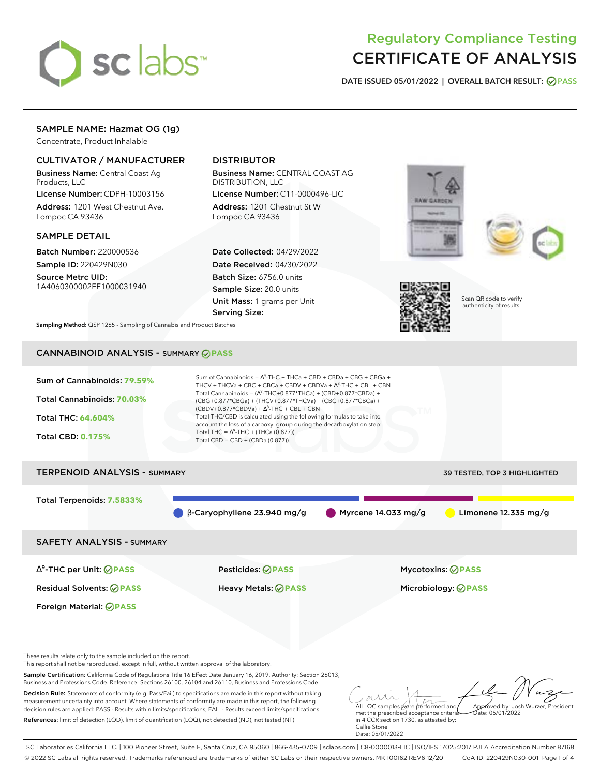

# Regulatory Compliance Testing CERTIFICATE OF ANALYSIS

**DATE ISSUED 05/01/2022 | OVERALL BATCH RESULT: PASS**

# SAMPLE NAME: Hazmat OG (1g)

Concentrate, Product Inhalable

### CULTIVATOR / MANUFACTURER

Business Name: Central Coast Ag Products, LLC

License Number: CDPH-10003156 Address: 1201 West Chestnut Ave. Lompoc CA 93436

### SAMPLE DETAIL

Batch Number: 220000536 Sample ID: 220429N030

Source Metrc UID: 1A4060300002EE1000031940

# DISTRIBUTOR

Business Name: CENTRAL COAST AG DISTRIBUTION, LLC License Number: C11-0000496-LIC

Address: 1201 Chestnut St W Lompoc CA 93436

Date Collected: 04/29/2022 Date Received: 04/30/2022 Batch Size: 6756.0 units Sample Size: 20.0 units Unit Mass: 1 grams per Unit Serving Size:







Scan QR code to verify authenticity of results.

**Sampling Method:** QSP 1265 - Sampling of Cannabis and Product Batches

# CANNABINOID ANALYSIS - SUMMARY **PASS**



References: limit of detection (LOD), limit of quantification (LOQ), not detected (ND), not tested (NT)

met the prescribed acceptance criteria in 4 CCR section 1730, as attested by: Callie Stone Date: 05/01/2022

SC Laboratories California LLC. | 100 Pioneer Street, Suite E, Santa Cruz, CA 95060 | 866-435-0709 | sclabs.com | C8-0000013-LIC | ISO/IES 17025:2017 PJLA Accreditation Number 87168 © 2022 SC Labs all rights reserved. Trademarks referenced are trademarks of either SC Labs or their respective owners. MKT00162 REV6 12/20 CoA ID: 220429N030-001 Page 1 of 4